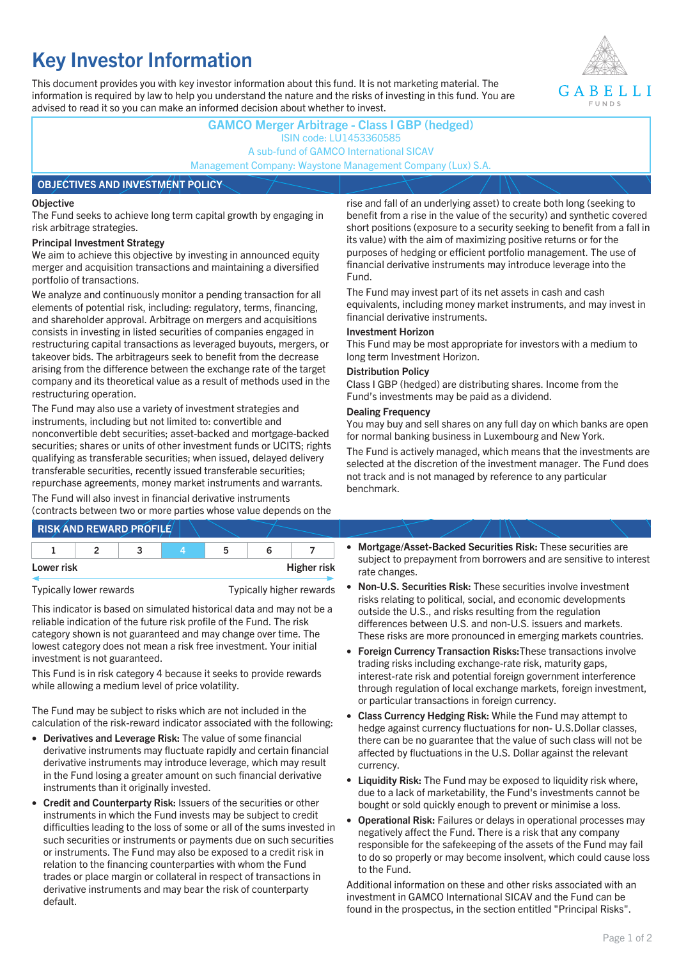# **Key Investor Information**

This document provides you with key investor information about this fund. It is not marketing material. The information is required by law to help you understand the nature and the risks of investing in this fund. You are advised to read it so you can make an informed decision about whether to invest.



## **GAMCO Merger Arbitrage - Class I GBP (hedged)** ISIN code: LU1453360585 A sub-fund of GAMCO International SICAV Management Company: Waystone Management Company (Lux) S.A. **OBJECTIVES AND INVESTMENT POLICY**

## **Objective**

The Fund seeks to achieve long term capital growth by engaging in risk arbitrage strategies.

## **Principal Investment Strategy**

We aim to achieve this objective by investing in announced equity merger and acquisition transactions and maintaining a diversified portfolio of transactions.

We analyze and continuously monitor a pending transaction for all elements of potential risk, including: regulatory, terms, financing, and shareholder approval. Arbitrage on mergers and acquisitions consists in investing in listed securities of companies engaged in restructuring capital transactions as leveraged buyouts, mergers, or takeover bids. The arbitrageurs seek to benefit from the decrease arising from the difference between the exchange rate of the target company and its theoretical value as a result of methods used in the restructuring operation.

The Fund may also use a variety of investment strategies and instruments, including but not limited to: convertible and nonconvertible debt securities; asset-backed and mortgage-backed securities; shares or units of other investment funds or UCITS; rights qualifying as transferable securities; when issued, delayed delivery transferable securities, recently issued transferable securities; repurchase agreements, money market instruments and warrants.

The Fund will also invest in financial derivative instruments (contracts between two or more parties whose value depends on the

|            | <b>RISK AND REWARD PROFILE</b> |    |                    |
|------------|--------------------------------|----|--------------------|
|            |                                | 'n |                    |
| Lower risk |                                |    | <b>Higher risk</b> |

Typically lower rewards Typically higher rewards

This indicator is based on simulated historical data and may not be a reliable indication of the future risk profile of the Fund. The risk category shown is not guaranteed and may change over time. The lowest category does not mean a risk free investment. Your initial investment is not guaranteed.

This Fund is in risk category 4 because it seeks to provide rewards while allowing a medium level of price volatility.

The Fund may be subject to risks which are not included in the calculation of the risk-reward indicator associated with the following:

- **Derivatives and Leverage Risk:** The value of some financial derivative instruments may fluctuate rapidly and certain financial derivative instruments may introduce leverage, which may result in the Fund losing a greater amount on such financial derivative instruments than it originally invested.
- **Credit and Counterparty Risk:** Issuers of the securities or other instruments in which the Fund invests may be subject to credit difficulties leading to the loss of some or all of the sums invested in such securities or instruments or payments due on such securities or instruments. The Fund may also be exposed to a credit risk in relation to the financing counterparties with whom the Fund trades or place margin or collateral in respect of transactions in derivative instruments and may bear the risk of counterparty default.

rise and fall of an underlying asset) to create both long (seeking to benefit from a rise in the value of the security) and synthetic covered short positions (exposure to a security seeking to benefit from a fall in its value) with the aim of maximizing positive returns or for the purposes of hedging or efficient portfolio management. The use of financial derivative instruments may introduce leverage into the Fund.

The Fund may invest part of its net assets in cash and cash equivalents, including money market instruments, and may invest in financial derivative instruments.

## **Investment Horizon**

This Fund may be most appropriate for investors with a medium to long term Investment Horizon.

## **Distribution Policy**

Class I GBP (hedged) are distributing shares. Income from the Fund's investments may be paid as a dividend.

## **Dealing Frequency**

You may buy and sell shares on any full day on which banks are open for normal banking business in Luxembourg and New York.

The Fund is actively managed, which means that the investments are selected at the discretion of the investment manager. The Fund does not track and is not managed by reference to any particular benchmark.

- **Mortgage/Asset-Backed Securities Risk:** These securities are subject to prepayment from borrowers and are sensitive to interest rate changes.
- **Non-U.S. Securities Risk:** These securities involve investment risks relating to political, social, and economic developments outside the U.S., and risks resulting from the regulation differences between U.S. and non-U.S. issuers and markets. These risks are more pronounced in emerging markets countries.
- **Foreign Currency Transaction Risks:**These transactions involve trading risks including exchange-rate risk, maturity gaps, interest-rate risk and potential foreign government interference through regulation of local exchange markets, foreign investment, or particular transactions in foreign currency.
- **Class Currency Hedging Risk:** While the Fund may attempt to hedge against currency fluctuations for non- U.S.Dollar classes, there can be no guarantee that the value of such class will not be affected by fluctuations in the U.S. Dollar against the relevant currency.
- **Liquidity Risk:** The Fund may be exposed to liquidity risk where, due to a lack of marketability, the Fund's investments cannot be bought or sold quickly enough to prevent or minimise a loss.
- **Operational Risk:** Failures or delays in operational processes may negatively affect the Fund. There is a risk that any company responsible for the safekeeping of the assets of the Fund may fail to do so properly or may become insolvent, which could cause loss to the Fund.

Additional information on these and other risks associated with an investment in GAMCO International SICAV and the Fund can be found in the prospectus, in the section entitled "Principal Risks".